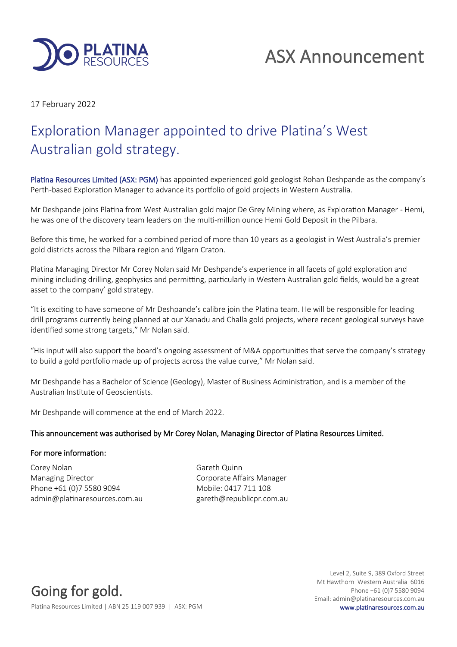

# ASX Announcement

17 February 2022

## Exploration Manager appointed to drive Platina's West Australian gold strategy.

Platina Resources Limited (ASX: PGM) has appointed experienced gold geologist Rohan Deshpande as the company's Perth-based Exploration Manager to advance its portfolio of gold projects in Western Australia.

Mr Deshpande joins Platina from West Australian gold major De Grey Mining where, as Exploration Manager - Hemi, he was one of the discovery team leaders on the multi-million ounce Hemi Gold Deposit in the Pilbara.

Before this time, he worked for a combined period of more than 10 years as a geologist in West Australia's premier gold districts across the Pilbara region and Yilgarn Craton.

Platina Managing Director Mr Corey Nolan said Mr Deshpande's experience in all facets of gold exploration and mining including drilling, geophysics and permitting, particularly in Western Australian gold fields, would be a great asset to the company' gold strategy.

"It is exciting to have someone of Mr Deshpande's calibre join the Platina team. He will be responsible for leading drill programs currently being planned at our Xanadu and Challa gold projects, where recent geological surveys have identified some strong targets," Mr Nolan said.

"His input will also support the board's ongoing assessment of M&A opportunities that serve the company's strategy to build a gold portfolio made up of projects across the value curve," Mr Nolan said.

Mr Deshpande has a Bachelor of Science (Geology), Master of Business Administration, and is a member of the Australian Institute of Geoscientists.

Mr Deshpande will commence at the end of March 2022.

### This announcement was authorised by Mr Corey Nolan, Managing Director of Platina Resources Limited.

#### For more information:

Corey Nolan Gareth Quinn Managing Director **Communist Communist Communist Communist Communist Communist Communist Communist Communist Communist Communist Communist Communist Communist Communist Communist Communist Communist Communist Communist Com** Phone +61 (0)7 5580 9094 Mobile: 0417 711 108 admin@platinaresources.com.au gareth@republicpr.com.au

Going for gold.

Level 2, Suite 9, 389 Oxford Street Mt Hawthorn Western Australia 6016 Phone +61 (0)7 5580 9094 Email: admin@platinaresources.com.au

Platina Resources Limited | ABN 25 119 007 939 | ASX: PGM www.platinaresources.com.au